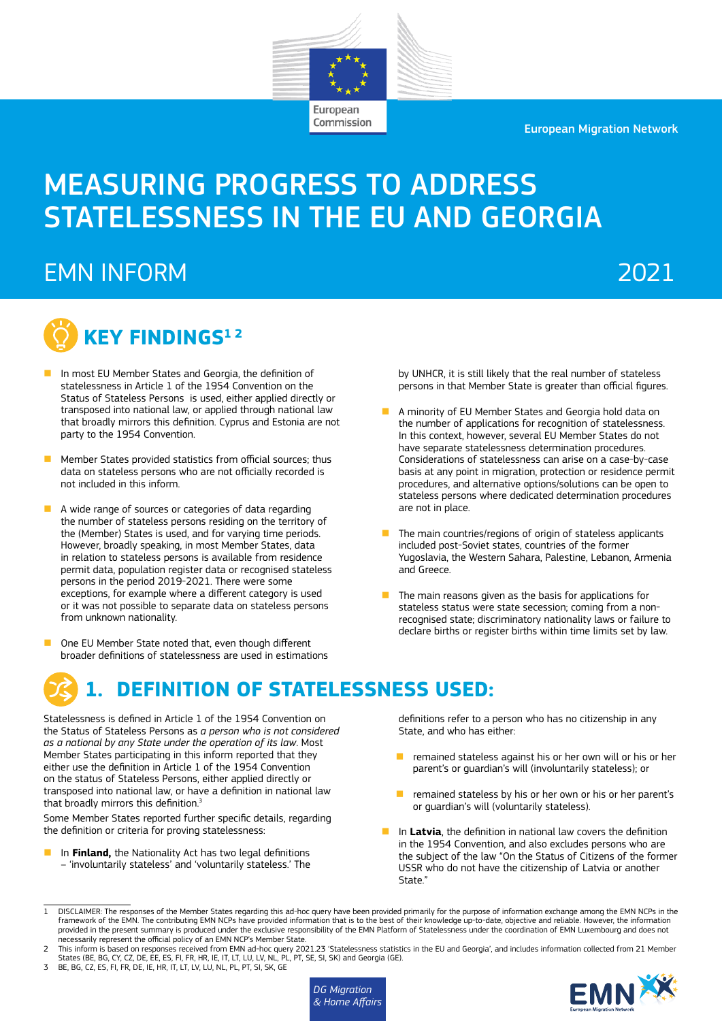European Migration Network



European Commission

# EMN INFORM 2021



- n In most EU Member States and Georgia, the definition of statelessness in Article 1 of the 1954 Convention on the Status of Stateless Persons is used, either applied directly or transposed into national law, or applied through national law that broadly mirrors this definition. Cyprus and Estonia are not party to the 1954 Convention.
- n Member States provided statistics from official sources; thus data on stateless persons who are not officially recorded is not included in this inform.
- A wide range of sources or categories of data regarding the number of stateless persons residing on the territory of the (Member) States is used, and for varying time periods. However, broadly speaking, in most Member States, data in relation to stateless persons is available from residence permit data, population register data or recognised stateless persons in the period 2019-2021. There were some exceptions, for example where a different category is used or it was not possible to separate data on stateless persons from unknown nationality.
- One EU Member State noted that, even though different broader definitions of statelessness are used in estimations

by UNHCR, it is still likely that the real number of stateless persons in that Member State is greater than official figures.

- n A minority of EU Member States and Georgia hold data on the number of applications for recognition of statelessness. In this context, however, several EU Member States do not have separate statelessness determination procedures. Considerations of statelessness can arise on a case-by-case basis at any point in migration, protection or residence permit procedures, and alternative options/solutions can be open to stateless persons where dedicated determination procedures are not in place.
- $\blacksquare$  The main countries/regions of origin of stateless applicants included post-Soviet states, countries of the former Yugoslavia, the Western Sahara, Palestine, Lebanon, Armenia and Greece.
- $\blacksquare$  The main reasons given as the basis for applications for stateless status were state secession; coming from a nonrecognised state; discriminatory nationality laws or failure to declare births or register births within time limits set by law.

# **1. DEFINITION OF STATELESSNESS USED:**

Statelessness is defined in Article 1 of the 1954 Convention on the Status of Stateless Persons as *a person who is not considered as a national by any State under the operation of its law*. Most Member States participating in this inform reported that they either use the definition in Article 1 of the 1954 Convention on the status of Stateless Persons, either applied directly or transposed into national law, or have a definition in national law that broadly mirrors this definition.<sup>3</sup>

Some Member States reported further specific details, regarding the definition or criteria for proving statelessness:

**n** In **Finland,** the Nationality Act has two legal definitions – 'involuntarily stateless' and 'voluntarily stateless.' The

definitions refer to a person who has no citizenship in any State, and who has either:

- n remained stateless against his or her own will or his or her parent's or guardian's will (involuntarily stateless); or
- $\blacksquare$  remained stateless by his or her own or his or her parent's or guardian's will (voluntarily stateless).
- **n** In Latvia, the definition in national law covers the definition in the 1954 Convention, and also excludes persons who are the subject of the law "On the Status of Citizens of the former USSR who do not have the citizenship of Latvia or another State."

- 2 This inform is based on responses received from EMN ad-hoc query 2021.23 'Statelessness statistics in the EU and Georgia', and includes information collected from 21 Member States (BE, BG, CY, CZ, DE, EE, ES, FI, FR, HR, IE, IT, LT, LU, LV, NL, PL, PT, SE, SI, SK) and Georgia (GE).<br>3 BE, BG, CZ, ES, FI, FR, DE, IE, HR, IT, LT, LV, LU, NL, PL, PT, SI, SK, GE
- 





<sup>1</sup> DISCLAIMER: The responses of the Member States regarding this ad-hoc query have been provided primarily for the purpose of information exchange among the EMN NCPs in the framework of the EMN. The contributing EMN NCPs have provided information that is to the best of their knowledge up-to-date, objective and reliable. However, the information<br>provided in the present summary is produced unde necessarily represent the official policy of an EMN NCP's Member State.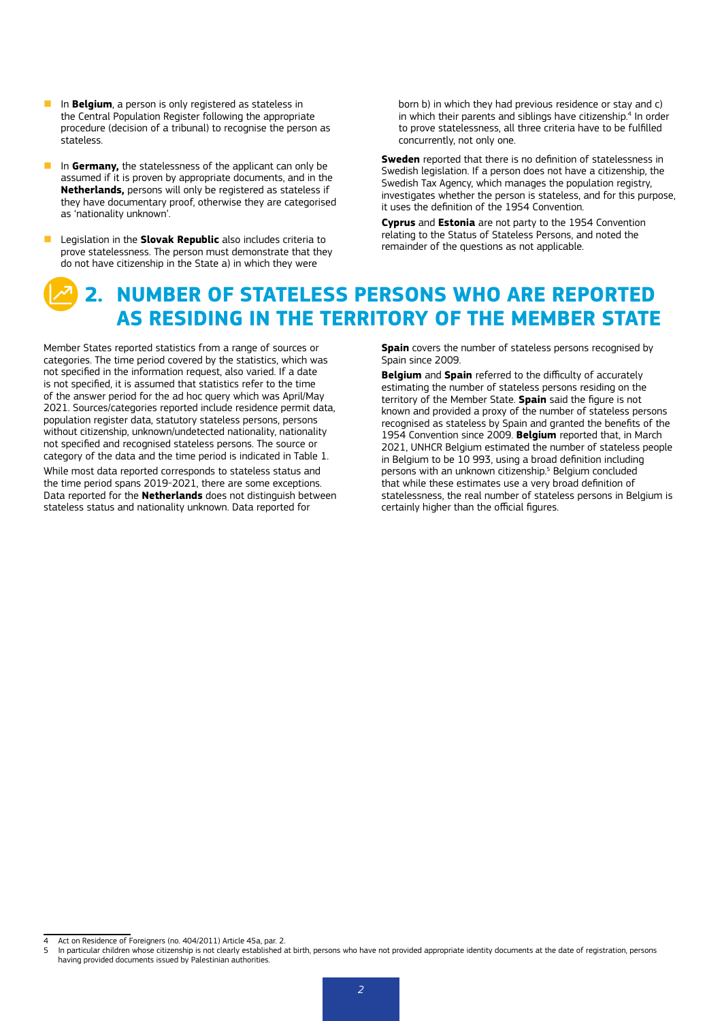- **n** In **Belgium**, a person is only registered as stateless in the Central Population Register following the appropriate procedure (decision of a tribunal) to recognise the person as stateless.
- **n** In Germany, the statelessness of the applicant can only be assumed if it is proven by appropriate documents, and in the **Netherlands,** persons will only be registered as stateless if they have documentary proof, otherwise they are categorised as 'nationality unknown'.
- **n** Legislation in the **Slovak Republic** also includes criteria to prove statelessness. The person must demonstrate that they do not have citizenship in the State a) in which they were

born b) in which they had previous residence or stay and c) in which their parents and siblings have citizenship.<sup>4</sup> In order to prove statelessness, all three criteria have to be fulfilled concurrently, not only one.

**Sweden** reported that there is no definition of statelessness in Swedish legislation. If a person does not have a citizenship, the Swedish Tax Agency, which manages the population registry, investigates whether the person is stateless, and for this purpose, it uses the definition of the 1954 Convention.

**Cyprus** and **Estonia** are not party to the 1954 Convention relating to the Status of Stateless Persons, and noted the remainder of the questions as not applicable.

## **2. NUMBER OF STATELESS PERSONS WHO ARE REPORTED AS RESIDING IN THE TERRITORY OF THE MEMBER STATE**

Member States reported statistics from a range of sources or categories. The time period covered by the statistics, which was not specified in the information request, also varied. If a date is not specified, it is assumed that statistics refer to the time of the answer period for the ad hoc query which was April/May 2021. Sources/categories reported include residence permit data, population register data, statutory stateless persons, persons without citizenship, unknown/undetected nationality, nationality not specified and recognised stateless persons. The source or category of the data and the time period is indicated in Table 1.

While most data reported corresponds to stateless status and the time period spans 2019-2021, there are some exceptions. Data reported for the **Netherlands** does not distinguish between stateless status and nationality unknown. Data reported for

**Spain** covers the number of stateless persons recognised by Spain since 2009.

**Belgium** and **Spain** referred to the difficulty of accurately estimating the number of stateless persons residing on the territory of the Member State. **Spain** said the figure is not known and provided a proxy of the number of stateless persons recognised as stateless by Spain and granted the benefits of the 1954 Convention since 2009. **Belgium** reported that, in March 2021, UNHCR Belgium estimated the number of stateless people in Belgium to be 10 993, using a broad definition including persons with an unknown citizenship.<sup>5</sup> Belgium concluded that while these estimates use a very broad definition of statelessness, the real number of stateless persons in Belgium is certainly higher than the official figures.

Act on Residence of Foreigners (no. 404/2011) Article 45a, par. 2.

<sup>5</sup> In particular children whose citizenship is not clearly established at birth, persons who have not provided appropriate identity documents at the date of registration, persons having provided documents issued by Palestinian authorities.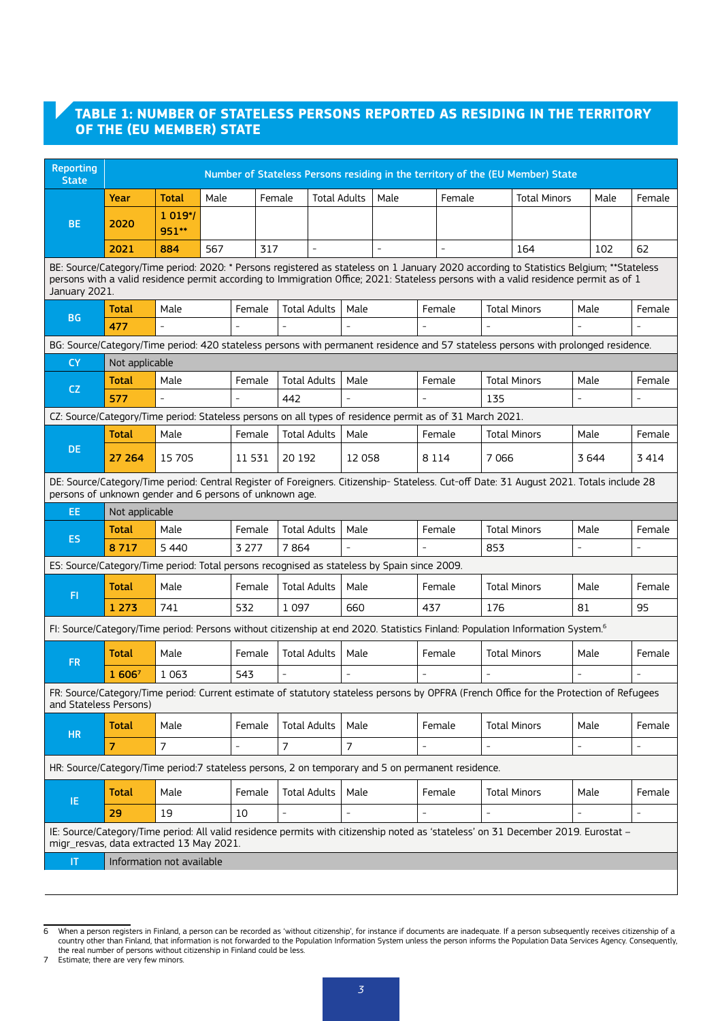#### **TABLE 1: NUMBER OF STATELESS PERSONS REPORTED AS RESIDING IN THE TERRITORY OF THE (EU MEMBER) STATE**

| <b>Reporting</b><br><b>State</b>                                                                                                                                                                                                                                                                 | Number of Stateless Persons residing in the territory of the (EU Member) State                                                            |                  |      |         |                     |                     |      |      |                          |        |                |                                                                                                                                         |                |      |        |
|--------------------------------------------------------------------------------------------------------------------------------------------------------------------------------------------------------------------------------------------------------------------------------------------------|-------------------------------------------------------------------------------------------------------------------------------------------|------------------|------|---------|---------------------|---------------------|------|------|--------------------------|--------|----------------|-----------------------------------------------------------------------------------------------------------------------------------------|----------------|------|--------|
|                                                                                                                                                                                                                                                                                                  | Year                                                                                                                                      | Total            | Male |         | Female              | <b>Total Adults</b> |      | Male |                          | Female |                | <b>Total Minors</b>                                                                                                                     |                | Male | Female |
| BE.                                                                                                                                                                                                                                                                                              | 2020                                                                                                                                      | 1 019*/<br>951** |      |         |                     |                     |      |      |                          |        |                |                                                                                                                                         |                |      |        |
|                                                                                                                                                                                                                                                                                                  | 2021                                                                                                                                      | 884              | 567  | 317     |                     |                     |      |      |                          |        |                | 164                                                                                                                                     |                | 102  | 62     |
| BE: Source/Category/Time period: 2020: * Persons registered as stateless on 1 January 2020 according to Statistics Belgium; **Stateless<br>persons with a valid residence permit according to Immigration Office; 2021: Stateless persons with a valid residence permit as of 1<br>January 2021. |                                                                                                                                           |                  |      |         |                     |                     |      |      |                          |        |                |                                                                                                                                         |                |      |        |
|                                                                                                                                                                                                                                                                                                  | Total                                                                                                                                     | Male             |      | Female  | <b>Total Adults</b> |                     | Male |      | Female                   |        |                | <b>Total Minors</b>                                                                                                                     | Male           |      | Female |
| <b>BG</b>                                                                                                                                                                                                                                                                                        | 477                                                                                                                                       |                  |      |         |                     |                     |      |      |                          |        |                |                                                                                                                                         |                |      |        |
|                                                                                                                                                                                                                                                                                                  |                                                                                                                                           |                  |      |         |                     |                     |      |      |                          |        |                | BG: Source/Category/Time period: 420 stateless persons with permanent residence and 57 stateless persons with prolonged residence.      |                |      |        |
| <b>CY</b>                                                                                                                                                                                                                                                                                        | Not applicable                                                                                                                            |                  |      |         |                     |                     |      |      |                          |        |                |                                                                                                                                         |                |      |        |
| <b>CZ</b>                                                                                                                                                                                                                                                                                        | <b>Total</b>                                                                                                                              | Male             |      | Female  | <b>Total Adults</b> |                     | Male |      | Female                   |        |                | <b>Total Minors</b>                                                                                                                     | Male           |      | Female |
|                                                                                                                                                                                                                                                                                                  | 577                                                                                                                                       |                  |      |         | 442                 |                     |      |      |                          |        | 135            |                                                                                                                                         |                |      |        |
| CZ: Source/Category/Time period: Stateless persons on all types of residence permit as of 31 March 2021.                                                                                                                                                                                         |                                                                                                                                           |                  |      |         |                     |                     |      |      |                          |        |                |                                                                                                                                         |                |      |        |
|                                                                                                                                                                                                                                                                                                  | <b>Total</b>                                                                                                                              | Male             |      | Female  | <b>Total Adults</b> |                     | Male |      |                          | Female |                | <b>Total Minors</b><br>Male                                                                                                             |                |      | Female |
| DE                                                                                                                                                                                                                                                                                               | 27 264                                                                                                                                    | 15 705<br>11 531 |      |         | 20 192              | 12 058              |      |      | 8 1 1 4                  |        | 7 0 6 6        |                                                                                                                                         | 3644           |      | 3414   |
| DE: Source/Category/Time period: Central Register of Foreigners. Citizenship- Stateless. Cut-off Date: 31 August 2021. Totals include 28<br>persons of unknown gender and 6 persons of unknown age.                                                                                              |                                                                                                                                           |                  |      |         |                     |                     |      |      |                          |        |                |                                                                                                                                         |                |      |        |
| EE.                                                                                                                                                                                                                                                                                              | Not applicable                                                                                                                            |                  |      |         |                     |                     |      |      |                          |        |                |                                                                                                                                         |                |      |        |
| <b>ES</b>                                                                                                                                                                                                                                                                                        | Total                                                                                                                                     | Male             |      | Female  | <b>Total Adults</b> |                     | Male |      | Female                   |        |                | <b>Total Minors</b>                                                                                                                     | Male           |      | Female |
|                                                                                                                                                                                                                                                                                                  | 8717                                                                                                                                      | 5 4 4 0          |      | 3 2 7 7 | 7864                |                     |      |      |                          |        | 853            |                                                                                                                                         |                |      |        |
| ES: Source/Category/Time period: Total persons recognised as stateless by Spain since 2009.                                                                                                                                                                                                      |                                                                                                                                           |                  |      |         |                     |                     |      |      |                          |        |                |                                                                                                                                         |                |      |        |
| F1                                                                                                                                                                                                                                                                                               | Total                                                                                                                                     | Male             |      | Female  | <b>Total Adults</b> |                     | Male |      | Female                   |        |                | <b>Total Minors</b>                                                                                                                     | Male           |      | Female |
|                                                                                                                                                                                                                                                                                                  | 1 2 7 3                                                                                                                                   | 741              |      | 532     | 1 0 9 7             |                     | 660  |      | 437                      |        | 176            |                                                                                                                                         | 81             |      | 95     |
|                                                                                                                                                                                                                                                                                                  | FI: Source/Category/Time period: Persons without citizenship at end 2020. Statistics Finland: Population Information System. <sup>6</sup> |                  |      |         |                     |                     |      |      |                          |        |                |                                                                                                                                         |                |      |        |
| <b>FR</b>                                                                                                                                                                                                                                                                                        | Total                                                                                                                                     | Male             |      | Female  | <b>Total Adults</b> |                     | Male |      | Female                   |        |                | <b>Total Minors</b>                                                                                                                     | Male           |      | Female |
|                                                                                                                                                                                                                                                                                                  | 1 6067                                                                                                                                    | 1 0 6 3          |      | 543     |                     |                     |      |      |                          |        |                |                                                                                                                                         |                |      |        |
| and Stateless Persons)                                                                                                                                                                                                                                                                           |                                                                                                                                           |                  |      |         |                     |                     |      |      |                          |        |                | FR: Source/Category/Time period: Current estimate of statutory stateless persons by OPFRA (French Office for the Protection of Refugees |                |      |        |
| <b>HR</b>                                                                                                                                                                                                                                                                                        | Total                                                                                                                                     | Male             |      | Female  | <b>Total Adults</b> |                     | Male |      | Female                   |        |                | <b>Total Minors</b>                                                                                                                     | Male           |      | Female |
|                                                                                                                                                                                                                                                                                                  | 7                                                                                                                                         | 7                |      |         | 7                   |                     | 7    |      | $\overline{\phantom{0}}$ |        | $\overline{a}$ |                                                                                                                                         | $\overline{a}$ |      |        |
| HR: Source/Category/Time period:7 stateless persons, 2 on temporary and 5 on permanent residence.                                                                                                                                                                                                |                                                                                                                                           |                  |      |         |                     |                     |      |      |                          |        |                |                                                                                                                                         |                |      |        |
| IE.                                                                                                                                                                                                                                                                                              | <b>Total</b>                                                                                                                              | Male             |      | Female  | <b>Total Adults</b> |                     | Male |      | Female                   |        |                | <b>Total Minors</b>                                                                                                                     | Male           |      | Female |
|                                                                                                                                                                                                                                                                                                  | 29                                                                                                                                        | 19               |      | 10      | $\frac{1}{2}$       |                     |      |      |                          |        | $\overline{a}$ |                                                                                                                                         |                |      |        |
| migr_resvas, data extracted 13 May 2021.                                                                                                                                                                                                                                                         |                                                                                                                                           |                  |      |         |                     |                     |      |      |                          |        |                | IE: Source/Category/Time period: All valid residence permits with citizenship noted as 'stateless' on 31 December 2019. Eurostat -      |                |      |        |
| T                                                                                                                                                                                                                                                                                                | Information not available                                                                                                                 |                  |      |         |                     |                     |      |      |                          |        |                |                                                                                                                                         |                |      |        |
|                                                                                                                                                                                                                                                                                                  |                                                                                                                                           |                  |      |         |                     |                     |      |      |                          |        |                |                                                                                                                                         |                |      |        |

<sup>6</sup> When a person registers in Finland, a person can be recorded as 'without citizenship', for instance if documents are inadequate. If a person subsequently receives citizenship of a<br>Country other than Finland, that informa

7 Estimate; there are very few minors.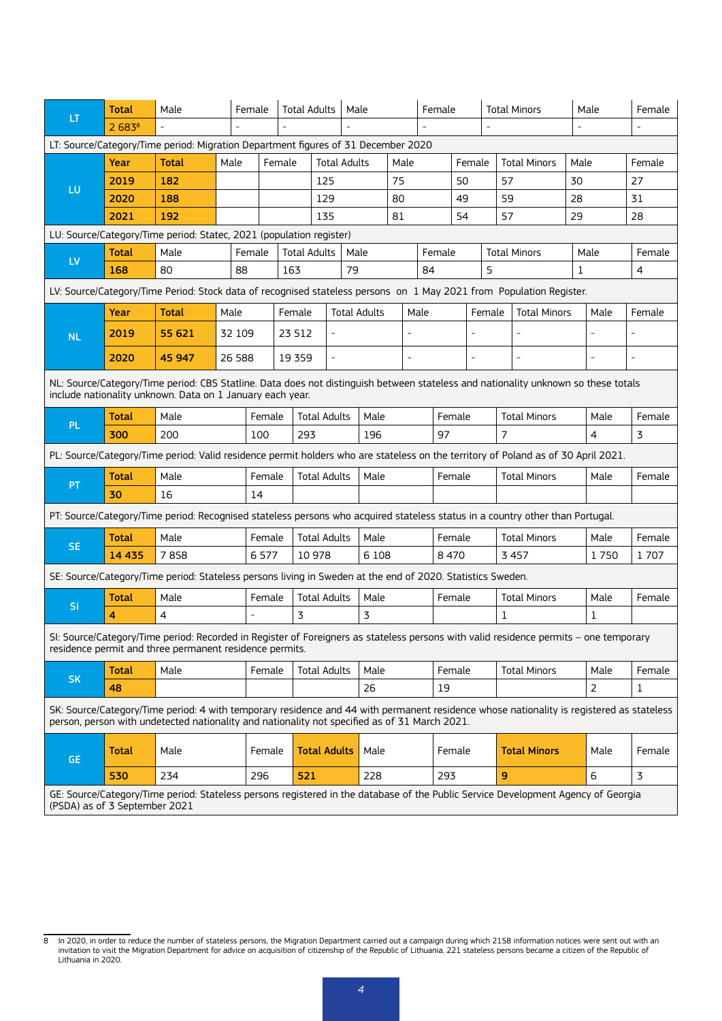|                                                                                                                                                                                                 | <b>Total</b>                                                                                                                                                                                     | Male<br>Female                                                                                                                                                                                                                            |         |                                                 | <b>Total Adults</b>           | Male                     |                     |      | Female |                |                          | <b>Total Minors</b> |                     | Male         | Female       |                |
|-------------------------------------------------------------------------------------------------------------------------------------------------------------------------------------------------|--------------------------------------------------------------------------------------------------------------------------------------------------------------------------------------------------|-------------------------------------------------------------------------------------------------------------------------------------------------------------------------------------------------------------------------------------------|---------|-------------------------------------------------|-------------------------------|--------------------------|---------------------|------|--------|----------------|--------------------------|---------------------|---------------------|--------------|--------------|----------------|
| LT.                                                                                                                                                                                             | 2683 <sup>8</sup>                                                                                                                                                                                |                                                                                                                                                                                                                                           |         |                                                 |                               |                          |                     |      |        |                |                          |                     |                     |              |              |                |
|                                                                                                                                                                                                 |                                                                                                                                                                                                  | LT: Source/Category/Time period: Migration Department figures of 31 December 2020                                                                                                                                                         |         |                                                 |                               |                          |                     |      |        |                |                          |                     |                     |              |              |                |
|                                                                                                                                                                                                 | Year                                                                                                                                                                                             | <b>Total</b>                                                                                                                                                                                                                              | Male    | Female                                          |                               |                          | <b>Total Adults</b> | Male |        |                | Female                   |                     | <b>Total Minors</b> |              | Male         | Female         |
|                                                                                                                                                                                                 | 2019                                                                                                                                                                                             | 182                                                                                                                                                                                                                                       |         |                                                 | 125                           |                          |                     | 75   |        |                | 50                       |                     | 57                  | 30           |              | 27             |
| LU                                                                                                                                                                                              | 2020                                                                                                                                                                                             | 188                                                                                                                                                                                                                                       |         |                                                 | 129                           |                          |                     | 80   |        |                | 49                       |                     | 59                  | 28           |              | 31             |
|                                                                                                                                                                                                 | 2021                                                                                                                                                                                             | 192                                                                                                                                                                                                                                       |         |                                                 | 135                           |                          |                     | 81   |        |                | 54                       | 57                  |                     | 29           |              | 28             |
|                                                                                                                                                                                                 | LU: Source/Category/Time period: Statec, 2021 (population register)                                                                                                                              |                                                                                                                                                                                                                                           |         |                                                 |                               |                          |                     |      |        |                |                          |                     |                     |              |              |                |
|                                                                                                                                                                                                 | <b>Total</b>                                                                                                                                                                                     | Male                                                                                                                                                                                                                                      |         | Female                                          |                               | <b>Total Adults</b>      | Male                |      | Female |                | <b>Total Minors</b>      |                     |                     | Male         | Female       |                |
| <b>LV</b>                                                                                                                                                                                       | 168                                                                                                                                                                                              | 80                                                                                                                                                                                                                                        | 88      |                                                 | 163                           |                          | 79                  |      |        | 84             |                          | 5                   |                     | $\mathbf{1}$ |              | $\overline{4}$ |
|                                                                                                                                                                                                 |                                                                                                                                                                                                  | LV: Source/Category/Time Period: Stock data of recognised stateless persons on 1 May 2021 from Population Register.                                                                                                                       |         |                                                 |                               |                          |                     |      |        |                |                          |                     |                     |              |              |                |
|                                                                                                                                                                                                 | Year                                                                                                                                                                                             | <b>Total</b>                                                                                                                                                                                                                              | Male    |                                                 | Female                        |                          | <b>Total Adults</b> |      | Male   |                |                          | Female              | <b>Total Minors</b> |              | Male         | Female         |
| <b>NL</b>                                                                                                                                                                                       | 2019                                                                                                                                                                                             | 55 621                                                                                                                                                                                                                                    | 32 109  |                                                 | 23 512                        | $\overline{\phantom{m}}$ |                     |      |        |                |                          |                     |                     |              |              |                |
|                                                                                                                                                                                                 | 2020                                                                                                                                                                                             | 45 947                                                                                                                                                                                                                                    | 26 5 88 |                                                 | 19 3 5 9                      | $\overline{a}$           |                     |      |        |                | $\overline{\phantom{0}}$ |                     |                     |              |              |                |
|                                                                                                                                                                                                 |                                                                                                                                                                                                  |                                                                                                                                                                                                                                           |         |                                                 |                               |                          |                     |      |        |                |                          |                     |                     |              |              |                |
| NL: Source/Category/Time period: CBS Statline. Data does not distinguish between stateless and nationality unknown so these totals<br>include nationality unknown. Data on 1 January each year. |                                                                                                                                                                                                  |                                                                                                                                                                                                                                           |         |                                                 |                               |                          |                     |      |        |                |                          |                     |                     |              |              |                |
| <b>PL</b>                                                                                                                                                                                       | <b>Total</b>                                                                                                                                                                                     | Male                                                                                                                                                                                                                                      |         |                                                 | <b>Total Adults</b><br>Female |                          |                     | Male |        |                | Female                   |                     | <b>Total Minors</b> |              | Male         | Female         |
|                                                                                                                                                                                                 | 300                                                                                                                                                                                              | 200                                                                                                                                                                                                                                       |         | 293<br>100                                      |                               |                          | 196                 |      | 97     | $\overline{7}$ |                          |                     |                     |              | 3            |                |
|                                                                                                                                                                                                 |                                                                                                                                                                                                  | PL: Source/Category/Time period: Valid residence permit holders who are stateless on the territory of Poland as of 30 April 2021.                                                                                                         |         |                                                 |                               |                          |                     |      |        |                |                          |                     |                     |              |              |                |
| <b>PT</b>                                                                                                                                                                                       | <b>Total</b>                                                                                                                                                                                     | Male                                                                                                                                                                                                                                      |         | <b>Total Adults</b><br>Male<br>Female<br>Female |                               |                          | <b>Total Minors</b> |      | Male   | Female         |                          |                     |                     |              |              |                |
|                                                                                                                                                                                                 | 30                                                                                                                                                                                               | 16                                                                                                                                                                                                                                        |         | 14                                              |                               |                          |                     |      |        |                |                          |                     |                     |              |              |                |
|                                                                                                                                                                                                 |                                                                                                                                                                                                  | PT: Source/Category/Time period: Recognised stateless persons who acquired stateless status in a country other than Portugal.                                                                                                             |         |                                                 |                               |                          |                     |      |        |                |                          |                     |                     |              |              |                |
|                                                                                                                                                                                                 | <b>Total</b>                                                                                                                                                                                     | Male                                                                                                                                                                                                                                      |         | Female                                          |                               | <b>Total Adults</b>      | Male                |      |        | Female         |                          |                     | <b>Total Minors</b> |              | Male         | Female         |
| <b>SE</b>                                                                                                                                                                                       | 14 4 35                                                                                                                                                                                          | 7858                                                                                                                                                                                                                                      |         | 6577                                            |                               | 10 978                   | 6 1 0 8             |      |        | 8470           |                          |                     | 3457                |              | 1750         | 1707           |
|                                                                                                                                                                                                 |                                                                                                                                                                                                  | SE: Source/Category/Time period: Stateless persons living in Sweden at the end of 2020. Statistics Sweden.                                                                                                                                |         |                                                 |                               |                          |                     |      |        |                |                          |                     |                     |              |              |                |
|                                                                                                                                                                                                 | <b>Total</b>                                                                                                                                                                                     | Male                                                                                                                                                                                                                                      |         | Female                                          |                               | <b>Total Adults</b>      | Male                |      |        |                | Female                   | <b>Total Minors</b> |                     |              | Male         | Female         |
| <b>SI</b>                                                                                                                                                                                       | 4                                                                                                                                                                                                | $\overline{4}$                                                                                                                                                                                                                            |         |                                                 | 3                             |                          | 3                   |      |        |                |                          |                     | $\mathbf{1}$        |              | $\mathbf{1}$ |                |
|                                                                                                                                                                                                 | SI: Source/Category/Time period: Recorded in Register of Foreigners as stateless persons with valid residence permits - one temporary<br>residence permit and three permanent residence permits. |                                                                                                                                                                                                                                           |         |                                                 |                               |                          |                     |      |        |                |                          |                     |                     |              |              |                |
|                                                                                                                                                                                                 | <b>Total</b>                                                                                                                                                                                     | Male                                                                                                                                                                                                                                      |         | Female                                          |                               | <b>Total Adults</b>      | Male                |      |        |                | Female                   |                     | <b>Total Minors</b> |              | Male         | Female         |
| <b>SK</b>                                                                                                                                                                                       | 48                                                                                                                                                                                               |                                                                                                                                                                                                                                           |         |                                                 |                               |                          | 26                  |      | 19     |                |                          |                     |                     | 2            | $\mathbf{1}$ |                |
|                                                                                                                                                                                                 |                                                                                                                                                                                                  | SK: Source/Category/Time period: 4 with temporary residence and 44 with permanent residence whose nationality is registered as stateless<br>person, person with undetected nationality and nationality not specified as of 31 March 2021. |         |                                                 |                               |                          |                     |      |        |                |                          |                     |                     |              |              |                |
| <b>GE</b>                                                                                                                                                                                       | <b>Total</b>                                                                                                                                                                                     | Male                                                                                                                                                                                                                                      |         | Female                                          |                               | <b>Total Adults</b>      | Male                |      |        |                | Female                   |                     | <b>Total Minors</b> |              | Male         | Female         |
|                                                                                                                                                                                                 | 530                                                                                                                                                                                              | 234                                                                                                                                                                                                                                       |         | 296                                             | 521                           |                          | 228                 |      |        | 293            |                          |                     | 9                   |              | 6            | 3              |
| GE: Source/Category/Time period: Stateless persons registered in the database of the Public Service Development Agency of Georgia<br>(PSDA) as of 3 September 2021                              |                                                                                                                                                                                                  |                                                                                                                                                                                                                                           |         |                                                 |                               |                          |                     |      |        |                |                          |                     |                     |              |              |                |

<sup>8</sup> In 2020, in order to reduce the number of stateless persons, the Migration Department carried out a campaign during which 2158 information notices were sent out with an<br>invitation to visit the Migration Department for ad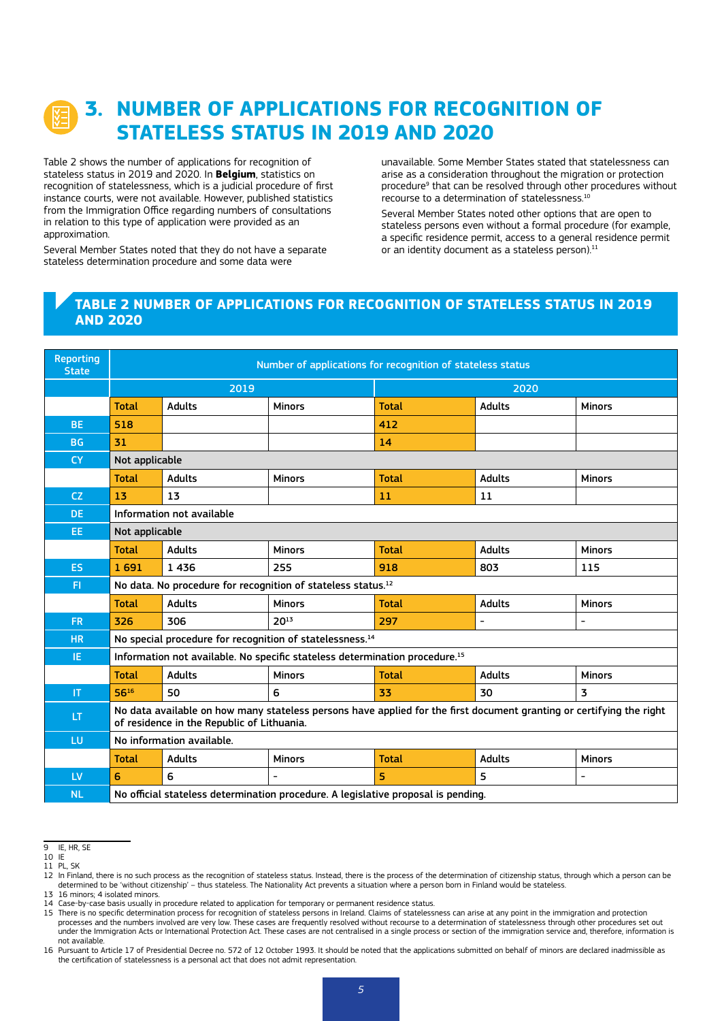## **3. NUMBER OF APPLICATIONS FOR RECOGNITION OF STATELESS STATUS IN 2019 AND 2020**

Table 2 shows the number of applications for recognition of stateless status in 2019 and 2020. In **Belgium**, statistics on recognition of statelessness, which is a judicial procedure of first instance courts, were not available. However, published statistics from the Immigration Office regarding numbers of consultations in relation to this type of application were provided as an approximation.

Several Member States noted that they do not have a separate stateless determination procedure and some data were

unavailable. Some Member States stated that statelessness can arise as a consideration throughout the migration or protection procedure<sup>9</sup> that can be resolved through other procedures without recourse to a determination of statelessness.<sup>10</sup>

Several Member States noted other options that are open to stateless persons even without a formal procedure (for example, a specific residence permit, access to a general residence permit or an identity document as a stateless person).<sup>11</sup>

#### **TABLE 2 NUMBER OF APPLICATIONS FOR RECOGNITION OF STATELESS STATUS IN 2019 AND 2020**

| <b>Reporting</b><br><b>State</b> | Number of applications for recognition of stateless status                                                                                                         |                           |                                                                                         |              |               |                          |  |  |
|----------------------------------|--------------------------------------------------------------------------------------------------------------------------------------------------------------------|---------------------------|-----------------------------------------------------------------------------------------|--------------|---------------|--------------------------|--|--|
|                                  |                                                                                                                                                                    | 2019                      |                                                                                         | 2020         |               |                          |  |  |
|                                  | <b>Total</b>                                                                                                                                                       | <b>Adults</b>             | <b>Minors</b>                                                                           | <b>Total</b> | <b>Adults</b> | <b>Minors</b>            |  |  |
| <b>BE</b>                        | 518                                                                                                                                                                |                           |                                                                                         | 412          |               |                          |  |  |
| <b>BG</b>                        | 31                                                                                                                                                                 |                           |                                                                                         | 14           |               |                          |  |  |
| <b>CY</b>                        | Not applicable                                                                                                                                                     |                           |                                                                                         |              |               |                          |  |  |
|                                  | <b>Total</b>                                                                                                                                                       | <b>Adults</b>             | <b>Minors</b>                                                                           | <b>Total</b> | <b>Adults</b> | <b>Minors</b>            |  |  |
| <b>CZ</b>                        | 13                                                                                                                                                                 | 13                        |                                                                                         | 11           | 11            |                          |  |  |
| DE.                              | Information not available                                                                                                                                          |                           |                                                                                         |              |               |                          |  |  |
| EE.                              | Not applicable                                                                                                                                                     |                           |                                                                                         |              |               |                          |  |  |
|                                  | <b>Total</b>                                                                                                                                                       | <b>Adults</b>             | <b>Minors</b>                                                                           | <b>Total</b> | <b>Adults</b> | <b>Minors</b>            |  |  |
| ES.                              | 1691                                                                                                                                                               | 1436                      | 255                                                                                     | 918          | 803           | 115                      |  |  |
| F1                               | No data. No procedure for recognition of stateless status. <sup>12</sup>                                                                                           |                           |                                                                                         |              |               |                          |  |  |
|                                  | <b>Total</b>                                                                                                                                                       | <b>Adults</b>             | <b>Minors</b>                                                                           | <b>Total</b> | <b>Adults</b> | <b>Minors</b>            |  |  |
| FR.                              | 326                                                                                                                                                                | 306                       | $20^{13}$                                                                               | 297          | ٠             |                          |  |  |
| <b>HR</b>                        | No special procedure for recognition of statelessness. <sup>14</sup>                                                                                               |                           |                                                                                         |              |               |                          |  |  |
| IE.                              |                                                                                                                                                                    |                           | Information not available. No specific stateless determination procedure. <sup>15</sup> |              |               |                          |  |  |
|                                  | <b>Total</b>                                                                                                                                                       | <b>Adults</b>             | <b>Minors</b>                                                                           | <b>Total</b> | <b>Adults</b> | <b>Minors</b>            |  |  |
| $\mathbf{I}$                     | 5616                                                                                                                                                               | 50                        | 6                                                                                       | 33           | 30            | 3                        |  |  |
| LT.                              | No data available on how many stateless persons have applied for the first document granting or certifying the right<br>of residence in the Republic of Lithuania. |                           |                                                                                         |              |               |                          |  |  |
| LU                               |                                                                                                                                                                    | No information available. |                                                                                         |              |               |                          |  |  |
|                                  | <b>Total</b>                                                                                                                                                       | <b>Adults</b>             | <b>Minors</b>                                                                           | <b>Total</b> | <b>Adults</b> | <b>Minors</b>            |  |  |
| <b>LV</b>                        | 6                                                                                                                                                                  | 6                         | $\overline{\phantom{a}}$                                                                | 5            | 5.            | $\overline{\phantom{a}}$ |  |  |
| <b>NL</b>                        | No official stateless determination procedure. A legislative proposal is pending.                                                                                  |                           |                                                                                         |              |               |                          |  |  |

<sup>9</sup> IE, HR, SE

<sup>10</sup> IE 11 PL SK

<sup>&</sup>lt;sup>1</sup><br><sup>12</sup> In Finland, there is no such process as the recognition of stateless status. Instead, there is the process of the determination of citizenship status, through which a person can be determined to be 'without citizenship' – thus stateless. The Nationality Act prevents a situation where a person born in Finland would be stateless.

<sup>13</sup> 16 minors; 4 isolated minors.

<sup>14</sup> Case-by-case basis usually in procedure related to application for temporary or permanent residence status.<br>15 There is no specific determination process for recognition of stateless persons in Ireland. Claims of stat processes and the numbers involved are very low. These cases are frequently resolved without recourse to a determination of statelessness through other procedures set out under the Immigration Acts or International Protection Act. These cases are not centralised in a single process or section of the immigration service and, therefore, information is not available.

<sup>16</sup> Pursuant to Article 17 of Presidential Decree no. 572 of 12 October 1993. It should be noted that the applications submitted on behalf of minors are declared inadmissible as the certification of statelessness is a personal act that does not admit representation.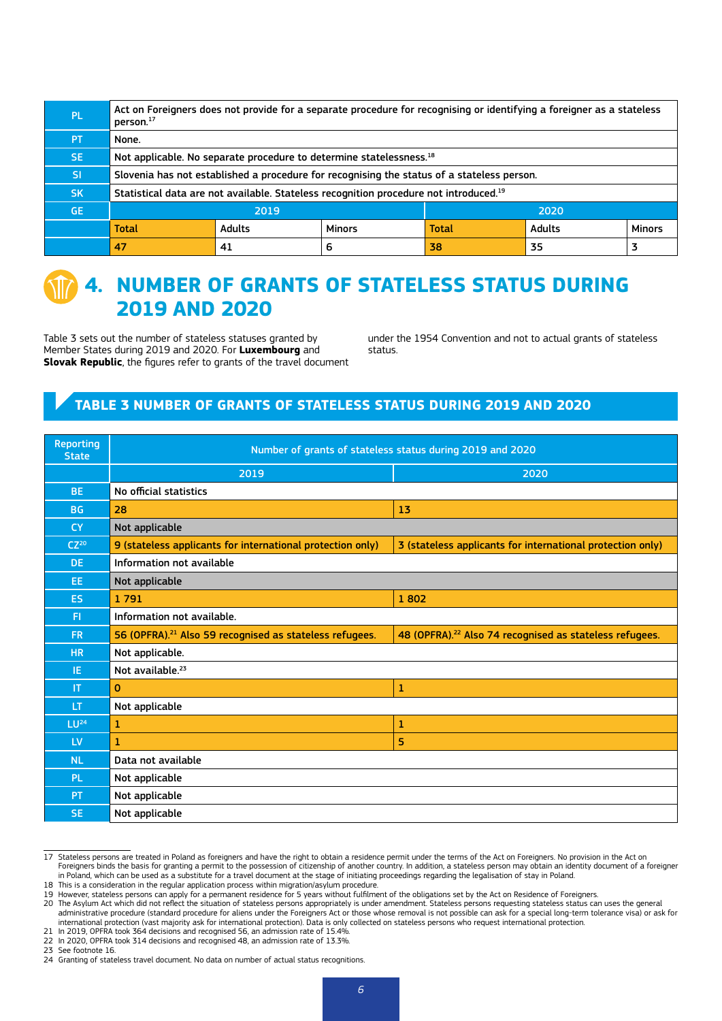| PL. | Act on Foreigners does not provide for a separate procedure for recognising or identifying a foreigner as a stateless<br>person. <sup>17</sup> |               |               |              |               |               |  |  |
|-----|------------------------------------------------------------------------------------------------------------------------------------------------|---------------|---------------|--------------|---------------|---------------|--|--|
| PT. | None.                                                                                                                                          |               |               |              |               |               |  |  |
| SE. | Not applicable. No separate procedure to determine statelessness. <sup>18</sup>                                                                |               |               |              |               |               |  |  |
| SI. | Slovenia has not established a procedure for recognising the status of a stateless person.                                                     |               |               |              |               |               |  |  |
| SK. | Statistical data are not available. Stateless recognition procedure not introduced. <sup>19</sup>                                              |               |               |              |               |               |  |  |
| GE. | 2019<br>2020                                                                                                                                   |               |               |              |               |               |  |  |
|     | <b>Total</b>                                                                                                                                   | <b>Adults</b> | <b>Minors</b> | <b>Total</b> | <b>Adults</b> | <b>Minors</b> |  |  |
|     | 47                                                                                                                                             | 41            | 6             | 38           | 35            |               |  |  |



## **4. NUMBER OF GRANTS OF STATELESS STATUS DURING 2019 AND 2020**

Table 3 sets out the number of stateless statuses granted by Member States during 2019 and 2020. For **Luxembourg** and **Slovak Republic**, the figures refer to grants of the travel document under the 1954 Convention and not to actual grants of stateless status.

### **TABLE 3 NUMBER OF GRANTS OF STATELESS STATUS DURING 2019 AND 2020**

| <b>Reporting</b><br><b>State</b> | Number of grants of stateless status during 2019 and 2020                                                                |                                                                     |  |  |  |  |  |  |
|----------------------------------|--------------------------------------------------------------------------------------------------------------------------|---------------------------------------------------------------------|--|--|--|--|--|--|
|                                  | 2019                                                                                                                     | 2020                                                                |  |  |  |  |  |  |
| BE.                              | No official statistics                                                                                                   |                                                                     |  |  |  |  |  |  |
| <b>BG</b>                        | 13<br>28                                                                                                                 |                                                                     |  |  |  |  |  |  |
| <b>CY</b>                        | Not applicable                                                                                                           |                                                                     |  |  |  |  |  |  |
| $CZ^{20}$                        | 9 (stateless applicants for international protection only)<br>3 (stateless applicants for international protection only) |                                                                     |  |  |  |  |  |  |
| DE.                              | Information not available                                                                                                |                                                                     |  |  |  |  |  |  |
| EE.                              | Not applicable                                                                                                           |                                                                     |  |  |  |  |  |  |
| <b>ES</b>                        | 1791<br>1802                                                                                                             |                                                                     |  |  |  |  |  |  |
| FI.                              | Information not available.                                                                                               |                                                                     |  |  |  |  |  |  |
| <b>FR</b>                        | 56 (OPFRA). <sup>21</sup> Also 59 recognised as stateless refugees.                                                      | 48 (OPFRA). <sup>22</sup> Also 74 recognised as stateless refugees. |  |  |  |  |  |  |
| <b>HR</b>                        | Not applicable.                                                                                                          |                                                                     |  |  |  |  |  |  |
| IE.                              | Not available. <sup>23</sup>                                                                                             |                                                                     |  |  |  |  |  |  |
| <b>IT</b>                        | $\Omega$                                                                                                                 | 1                                                                   |  |  |  |  |  |  |
| <b>LT</b>                        | Not applicable                                                                                                           |                                                                     |  |  |  |  |  |  |
| LU <sup>24</sup>                 | 1                                                                                                                        | 1                                                                   |  |  |  |  |  |  |
| <b>LV</b>                        | 1                                                                                                                        | 5                                                                   |  |  |  |  |  |  |
| <b>NL</b>                        | Data not available                                                                                                       |                                                                     |  |  |  |  |  |  |
| <b>PL</b>                        | Not applicable                                                                                                           |                                                                     |  |  |  |  |  |  |
| <b>PT</b>                        | Not applicable                                                                                                           |                                                                     |  |  |  |  |  |  |
| SE.                              | Not applicable                                                                                                           |                                                                     |  |  |  |  |  |  |

17 Stateless persons are treated in Poland as foreigners and have the right to obtain a residence permit under the terms of the Act on Foreigners. No provision in the Act on Foreigners binds the basis for granting a permit to the possession of citizenship of another country. In addition, a stateless person may obtain an identity document of a foreigner<br>in Poland, which can be used as a substit 18 This is a consideration in the regular application process within migration/asylum procedure.

- 20 The Asylum Act which did not reflect the situation of stateless persons appropriately is under amendment. Stateless persons requesting stateless status can uses the general<br>administrative procedure (standard procedure f international protection (vast majority ask for international protection). Data is only collected on stateless persons who request international protection.
- 21 In 2019, OPFRA took 364 decisions and recognised 56, an admission rate of 15.4%.

23 See footnote 16.

<sup>19</sup> However, stateless persons can apply for a permanent residence for 5 years without fulfilment of the obligations set by the Act on Residence of Foreigners.

<sup>22</sup> In 2020, OPFRA took 314 decisions and recognised 48, an admission rate of 13.3%.

<sup>24</sup> Granting of stateless travel document. No data on number of actual status recognitions.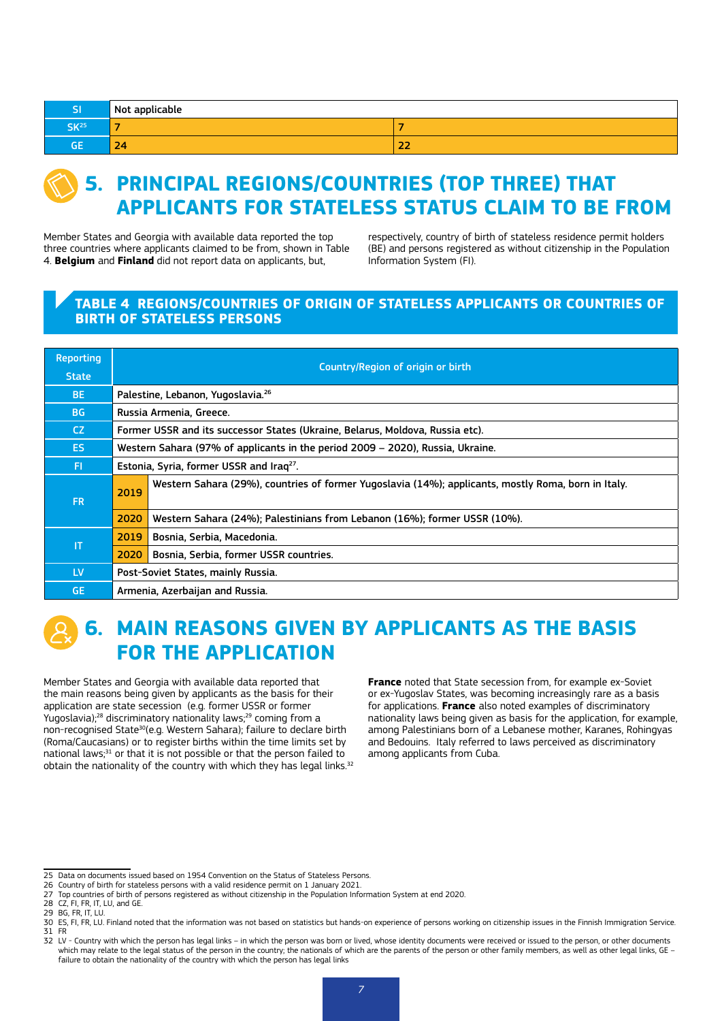| וכ               | Not applicable           |             |
|------------------|--------------------------|-------------|
| SK <sup>25</sup> | $\overline{\phantom{a}}$ | -           |
| GЕ               | $\sim$<br>24             | $- -$<br>LL |



## **5. PRINCIPAL REGIONS/COUNTRIES (TOP THREE) THAT APPLICANTS FOR STATELESS STATUS CLAIM TO BE FROM**

Member States and Georgia with available data reported the top three countries where applicants claimed to be from, shown in Table 4. **Belgium** and **Finland** did not report data on applicants, but,

respectively, country of birth of stateless residence permit holders (BE) and persons registered as without citizenship in the Population Information System (FI).

#### **TABLE 4 REGIONS/COUNTRIES OF ORIGIN OF STATELESS APPLICANTS OR COUNTRIES OF BIRTH OF STATELESS PERSONS**

| <b>Reporting</b> | Country/Region of origin or birth                    |                                                                                                     |  |  |  |  |  |  |  |
|------------------|------------------------------------------------------|-----------------------------------------------------------------------------------------------------|--|--|--|--|--|--|--|
| State,           |                                                      |                                                                                                     |  |  |  |  |  |  |  |
| BE.              |                                                      | Palestine, Lebanon, Yugoslavia. <sup>26</sup>                                                       |  |  |  |  |  |  |  |
| BG               |                                                      | Russia Armenia, Greece.                                                                             |  |  |  |  |  |  |  |
| CZ.              |                                                      | Former USSR and its successor States (Ukraine, Belarus, Moldova, Russia etc).                       |  |  |  |  |  |  |  |
| ES.              |                                                      | Western Sahara (97% of applicants in the period 2009 – 2020), Russia, Ukraine.                      |  |  |  |  |  |  |  |
| FL.              | Estonia, Syria, former USSR and Irag <sup>27</sup> . |                                                                                                     |  |  |  |  |  |  |  |
| <b>FR</b>        | 2019                                                 | Western Sahara (29%), countries of former Yugoslavia (14%); applicants, mostly Roma, born in Italy. |  |  |  |  |  |  |  |
|                  | 2020                                                 | Western Sahara (24%); Palestinians from Lebanon (16%); former USSR (10%).                           |  |  |  |  |  |  |  |
| ΙT               | 2019<br>Bosnia, Serbia, Macedonia.                   |                                                                                                     |  |  |  |  |  |  |  |
|                  | 2020<br>Bosnia, Serbia, former USSR countries.       |                                                                                                     |  |  |  |  |  |  |  |
| LV.              | Post-Soviet States, mainly Russia.                   |                                                                                                     |  |  |  |  |  |  |  |
| <b>GE</b>        | Armenia, Azerbaijan and Russia.                      |                                                                                                     |  |  |  |  |  |  |  |

## **6. MAIN REASONS GIVEN BY APPLICANTS AS THE BASIS FOR THE APPLICATION**

Member States and Georgia with available data reported that the main reasons being given by applicants as the basis for their application are state secession (e.g. former USSR or former Yugoslavia);<sup>28</sup> discriminatory nationality laws;<sup>29</sup> coming from a non-recognised State<sup>30</sup>(e.g. Western Sahara); failure to declare birth (Roma/Caucasians) or to register births within the time limits set by national laws;<sup>31</sup> or that it is not possible or that the person failed to obtain the nationality of the country with which they has legal links.<sup>32</sup> **France** noted that State secession from, for example ex-Soviet or ex-Yugoslav States, was becoming increasingly rare as a basis for applications. **France** also noted examples of discriminatory nationality laws being given as basis for the application, for example, among Palestinians born of a Lebanese mother, Karanes, Rohingyas and Bedouins. Italy referred to laws perceived as discriminatory among applicants from Cuba.

<sup>25</sup> Data on documents issued based on 1954 Convention on the Status of Stateless Persons.

<sup>26</sup> Country of birth for stateless persons with a valid residence permit on 1 January 2021.

<sup>27</sup> Top countries of birth of persons registered as without citizenship in the Population Information System at end 2020.

<sup>28</sup> CZ, FI, FR, IT, LU, and GE.

<sup>29</sup> BG, FR, IT, LU.

<sup>30</sup> ES, FI, FR, LU. Finland noted that the information was not based on statistics but hands-on experience of persons working on citizenship issues in the Finnish Immigration Service.<br>31 FR 31 FR

 $\sim$  32 LV - Country with which the person has legal links – in which the person was born or lived, whose identity documents were received or issued to the person, or other documents which may relate to the legal status of the person in the country; the nationals of which are the parents of the person or other family members, as well as other legal links, GE – failure to obtain the nationality of the country with which the person has legal links